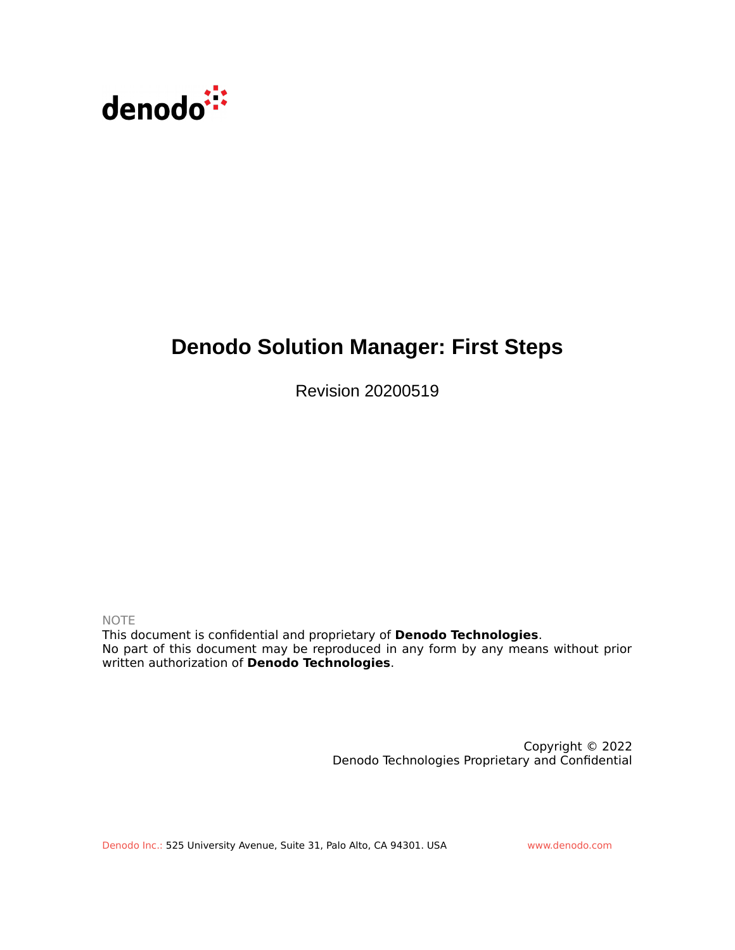

# **Denodo Solution Manager: First Steps**

Revision 20200519

NOTE

This document is confidential and proprietary of **Denodo Technologies**. No part of this document may be reproduced in any form by any means without prior written authorization of **Denodo Technologies**.

> Copyright © 2022 Denodo Technologies Proprietary and Confidential

Denodo Inc.: 525 University Avenue, Suite 31, Palo Alto, CA 94301. USA www.denodo.com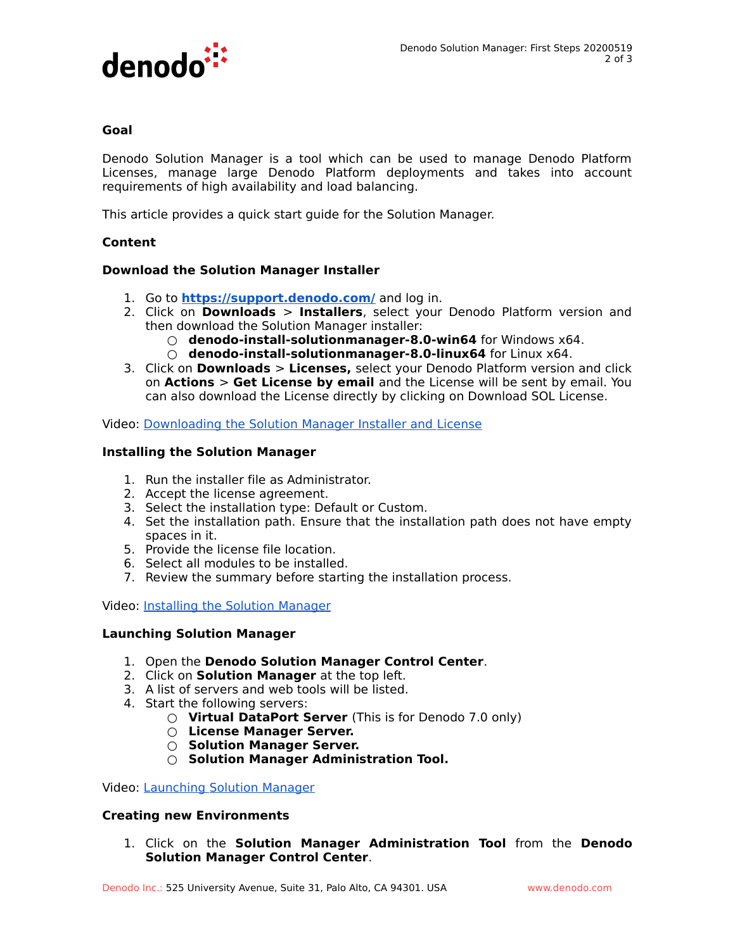

#### **Goal**

Denodo Solution Manager is a tool which can be used to manage Denodo Platform Licenses, manage large Denodo Platform deployments and takes into account requirements of high availability and load balancing.

This article provides a quick start guide for the Solution Manager.

## **Content**

## **Download the Solution Manager Installer**

- 1. Go to **<https://support.denodo.com/>** and log in.
- 2. Click on **Downloads** > **Installers**, select your Denodo Platform version and then download the Solution Manager installer:
	- **denodo-install-solutionmanager-8.0-win64** for Windows x64.
	- **denodo-install-solutionmanager-8.0-linux64** for Linux x64.
- 3. Click on **Downloads** > **Licenses,** select your Denodo Platform version and click on **Actions** > **Get License by email** and the License will be sent by email. You can also download the License directly by clicking on Download SOL License.

Video: [Downloading the Solution Manager Installer and License](https://community.denodo.com/videos/details/Solution%20Manager/Denodo%207.0/Downloading%20the%20Solution%20Manager%20Installer%20and%20License)

## **Installing the Solution Manager**

- 1. Run the installer file as Administrator.
- 2. Accept the license agreement.
- 3. Select the installation type: Default or Custom.
- 4. Set the installation path. Ensure that the installation path does not have empty spaces in it.
- 5. Provide the license file location.
- 6. Select all modules to be installed.
- 7. Review the summary before starting the installation process.

Video: [Installing the Solution Manager](https://community.denodo.com/videos/details/Solution%20Manager/Denodo%207.0/Installing%20the%20Solution%20Manager)

#### **Launching Solution Manager**

- 1. Open the **Denodo Solution Manager Control Center**.
- 2. Click on **Solution Manager** at the top left.
- 3. A list of servers and web tools will be listed.
- 4. Start the following servers:
	- **○ Virtual DataPort Server** (This is for Denodo 7.0 only)
	- **○ License Manager Server.**
	- **○ Solution Manager Server.**
	- **○ Solution Manager Administration Tool.**

Video: [Launching Solution Manager](https://community.denodo.com/videos/details/Solution%20Manager/Denodo%207.0/Launching%20Solution%20Manager)

#### **Creating new Environments**

1. Click on the **Solution Manager Administration Tool** from the **Denodo Solution Manager Control Center**.